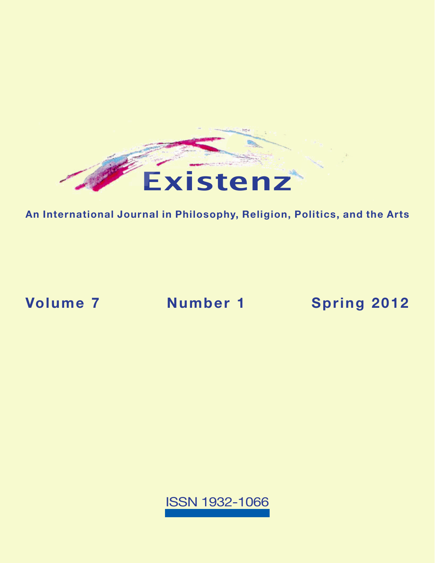

**An International Journal in Philosophy, Religion, Politics, and the Arts**

**Volume 7 Number 1 [Spring 2012](https://existenz.us/volume7No1.html)**

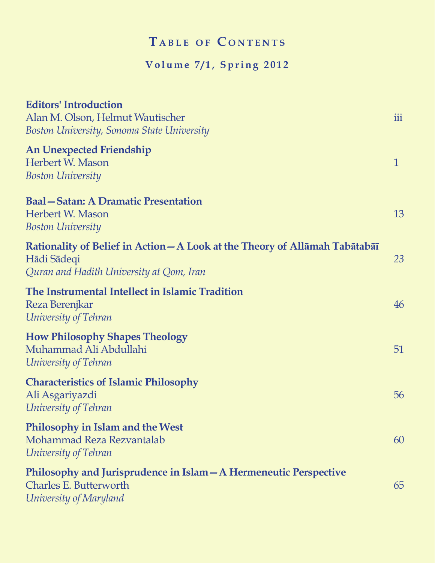# $T$  **a** BLE OF CONTENTS

## **Volume 7/1, Spring 2012**

| <b>Editors' Introduction</b><br>Alan M. Olson, Helmut Wautischer<br>Boston University, Sonoma State University                         | iii          |
|----------------------------------------------------------------------------------------------------------------------------------------|--------------|
| <b>An Unexpected Friendship</b><br>Herbert W. Mason<br><b>Boston University</b>                                                        | $\mathbf{1}$ |
| <b>Baal-Satan: A Dramatic Presentation</b><br>Herbert W. Mason<br><b>Boston University</b>                                             | 13           |
| Rationality of Belief in Action – A Look at the Theory of Allāmah Tabātabāī<br>Hādi Sādeqi<br>Quran and Hadith University at Qom, Iran | 23           |
| The Instrumental Intellect in Islamic Tradition<br>Reza Berenjkar<br>University of Tehran                                              | 46           |
| <b>How Philosophy Shapes Theology</b><br>Muhammad Ali Abdullahi<br>University of Tehran                                                | 51           |
| <b>Characteristics of Islamic Philosophy</b><br>Ali Asgariyazdi<br>University of Tehran                                                | 56           |
| <b>Philosophy in Islam and the West</b><br>Mohammad Reza Rezvantalab<br>University of Tehran                                           | 60           |
| Philosophy and Jurisprudence in Islam – A Hermeneutic Perspective<br>Charles E. Butterworth<br>University of Maryland                  | 65           |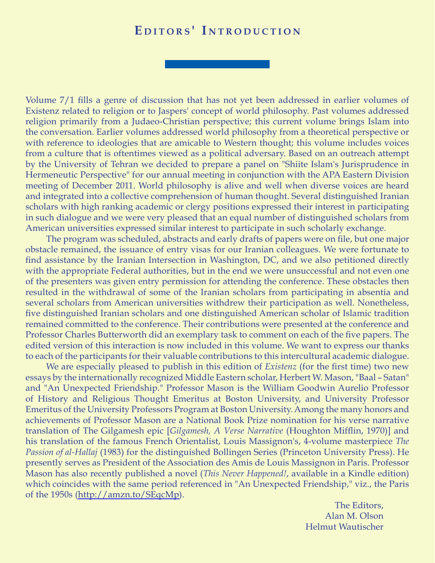## EDITORS' INTRODUCTION

Volume 7/1 fills a genre of discussion that has not yet been addressed in earlier volumes of Existenz related to religion or to Jaspers' concept of world philosophy. Past volumes addressed religion primarily from a Judaeo-Christian perspective; this current volume brings Islam into the conversation. Earlier volumes addressed world philosophy from a theoretical perspective or with reference to ideologies that are amicable to Western thought; this volume includes voices from a culture that is oftentimes viewed as a political adversary. Based on an outreach attempt by the University of Tehran we decided to prepare a panel on "Shiite Islam's Jurisprudence in Hermeneutic Perspective" for our annual meeting in conjunction with the APA Eastern Division meeting of December 2011. World philosophy is alive and well when diverse voices are heard and integrated into a collective comprehension of human thought. Several distinguished Iranian scholars with high ranking academic or clergy positions expressed their interest in participating in such dialogue and we were very pleased that an equal number of distinguished scholars from American universities expressed similar interest to participate in such scholarly exchange.

The program was scheduled, abstracts and early drafts of papers were on file, but one major obstacle remained, the issuance of entry visas for our Iranian colleagues. We were fortunate to find assistance by the Iranian Intersection in Washington, DC, and we also petitioned directly with the appropriate Federal authorities, but in the end we were unsuccessful and not even one of the presenters was given entry permission for attending the conference. These obstacles then resulted in the withdrawal of some of the Iranian scholars from participating in absentia and several scholars from American universities withdrew their participation as well. Nonetheless, five distinguished Iranian scholars and one distinguished American scholar of Islamic tradition remained committed to the conference. Their contributions were presented at the conference and Professor Charles Butterworth did an exemplary task to comment on each of the five papers. The edited version of this interaction is now included in this volume. We want to express our thanks to each of the participants for their valuable contributions to this intercultural academic dialogue.

We are especially pleased to publish in this edition of *Existenz* (for the first time) two new essays by the internationally recognized Middle Eastern scholar, Herbert W. Mason, "Baal – Satan" and "An Unexpected Friendship." Professor Mason is the William Goodwin Aurelio Professor of History and Religious Thought Emeritus at Boston University, and University Professor Emeritus of the University Professors Program at Boston University. Among the many honors and achievements of Professor Mason are a National Book Prize nomination for his verse narrative translation of The Gilgamesh epic [*Gilgamesh, A Verse Narrative* (Houghton Mifflin, 1970)] and his translation of the famous French Orientalist, Louis Massignon's, 4-volume masterpiece *The Passion of al-Hallaj* (1983) for the distinguished Bollingen Series (Princeton University Press). He presently serves as President of the Association des Amis de Louis Massignon in Paris. Professor Mason has also recently published a novel (*This Never Happened!*, available in a Kindle edition) which coincides with the same period referenced in "An Unexpected Friendship," viz., the Paris of the 1950s (<http://amzn.to/SEqcMp>).

> The Editors, Alan M. Olson Helmut Wautischer